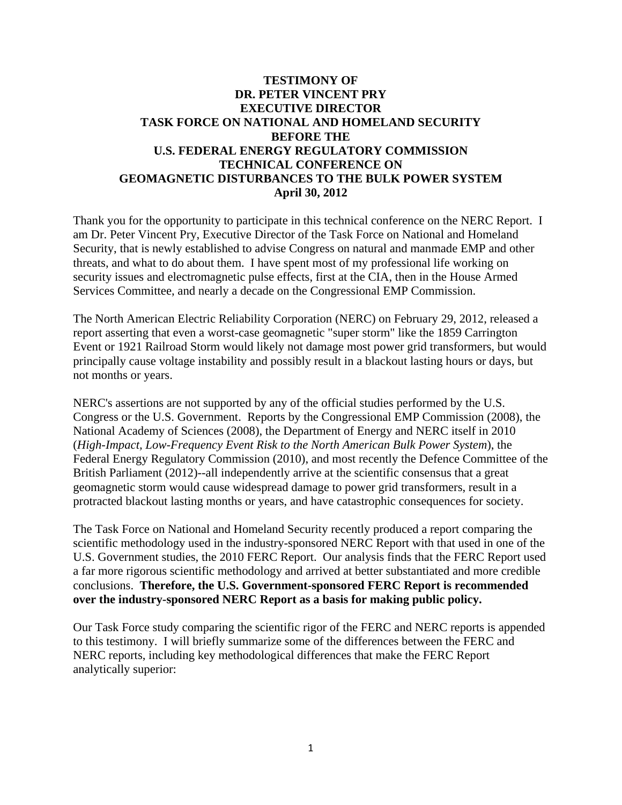## **TESTIMONY OF DR. PETER VINCENT PRY EXECUTIVE DIRECTOR TASK FORCE ON NATIONAL AND HOMELAND SECURITY BEFORE THE U.S. FEDERAL ENERGY REGULATORY COMMISSION TECHNICAL CONFERENCE ON GEOMAGNETIC DISTURBANCES TO THE BULK POWER SYSTEM April 30, 2012**

Thank you for the opportunity to participate in this technical conference on the NERC Report. I am Dr. Peter Vincent Pry, Executive Director of the Task Force on National and Homeland Security, that is newly established to advise Congress on natural and manmade EMP and other threats, and what to do about them. I have spent most of my professional life working on security issues and electromagnetic pulse effects, first at the CIA, then in the House Armed Services Committee, and nearly a decade on the Congressional EMP Commission.

The North American Electric Reliability Corporation (NERC) on February 29, 2012, released a report asserting that even a worst-case geomagnetic "super storm" like the 1859 Carrington Event or 1921 Railroad Storm would likely not damage most power grid transformers, but would principally cause voltage instability and possibly result in a blackout lasting hours or days, but not months or years.

NERC's assertions are not supported by any of the official studies performed by the U.S. Congress or the U.S. Government. Reports by the Congressional EMP Commission (2008), the National Academy of Sciences (2008), the Department of Energy and NERC itself in 2010 (*High-Impact, Low-Frequency Event Risk to the North American Bulk Power System*), the Federal Energy Regulatory Commission (2010), and most recently the Defence Committee of the British Parliament (2012)--all independently arrive at the scientific consensus that a great geomagnetic storm would cause widespread damage to power grid transformers, result in a protracted blackout lasting months or years, and have catastrophic consequences for society.

The Task Force on National and Homeland Security recently produced a report comparing the scientific methodology used in the industry-sponsored NERC Report with that used in one of the U.S. Government studies, the 2010 FERC Report. Our analysis finds that the FERC Report used a far more rigorous scientific methodology and arrived at better substantiated and more credible conclusions. **Therefore, the U.S. Government-sponsored FERC Report is recommended over the industry-sponsored NERC Report as a basis for making public policy.** 

Our Task Force study comparing the scientific rigor of the FERC and NERC reports is appended to this testimony. I will briefly summarize some of the differences between the FERC and NERC reports, including key methodological differences that make the FERC Report analytically superior: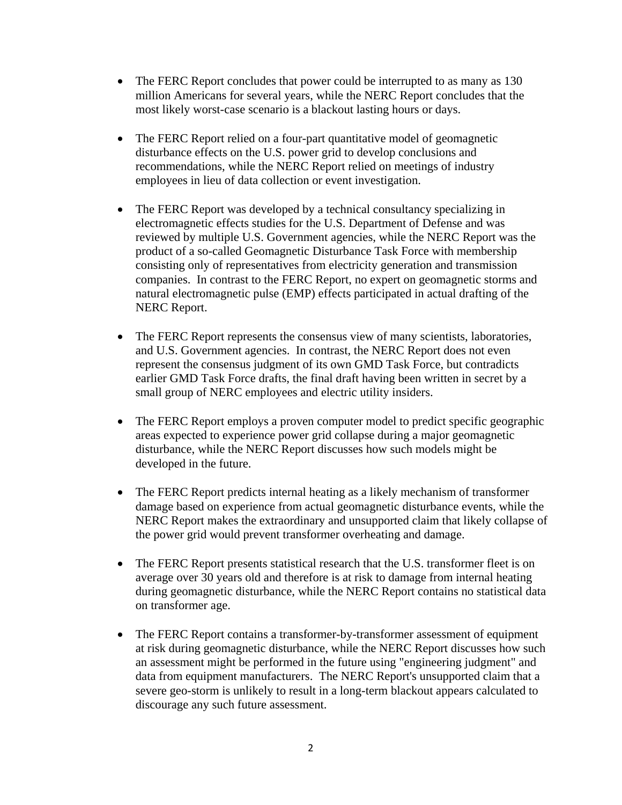- The FERC Report concludes that power could be interrupted to as many as 130 million Americans for several years, while the NERC Report concludes that the most likely worst-case scenario is a blackout lasting hours or days.
- The FERC Report relied on a four-part quantitative model of geomagnetic disturbance effects on the U.S. power grid to develop conclusions and recommendations, while the NERC Report relied on meetings of industry employees in lieu of data collection or event investigation.
- The FERC Report was developed by a technical consultancy specializing in electromagnetic effects studies for the U.S. Department of Defense and was reviewed by multiple U.S. Government agencies, while the NERC Report was the product of a so-called Geomagnetic Disturbance Task Force with membership consisting only of representatives from electricity generation and transmission companies. In contrast to the FERC Report, no expert on geomagnetic storms and natural electromagnetic pulse (EMP) effects participated in actual drafting of the NERC Report.
- The FERC Report represents the consensus view of many scientists, laboratories, and U.S. Government agencies. In contrast, the NERC Report does not even represent the consensus judgment of its own GMD Task Force, but contradicts earlier GMD Task Force drafts, the final draft having been written in secret by a small group of NERC employees and electric utility insiders.
- The FERC Report employs a proven computer model to predict specific geographic areas expected to experience power grid collapse during a major geomagnetic disturbance, while the NERC Report discusses how such models might be developed in the future.
- The FERC Report predicts internal heating as a likely mechanism of transformer damage based on experience from actual geomagnetic disturbance events, while the NERC Report makes the extraordinary and unsupported claim that likely collapse of the power grid would prevent transformer overheating and damage.
- The FERC Report presents statistical research that the U.S. transformer fleet is on average over 30 years old and therefore is at risk to damage from internal heating during geomagnetic disturbance, while the NERC Report contains no statistical data on transformer age.
- The FERC Report contains a transformer-by-transformer assessment of equipment at risk during geomagnetic disturbance, while the NERC Report discusses how such an assessment might be performed in the future using "engineering judgment" and data from equipment manufacturers. The NERC Report's unsupported claim that a severe geo-storm is unlikely to result in a long-term blackout appears calculated to discourage any such future assessment.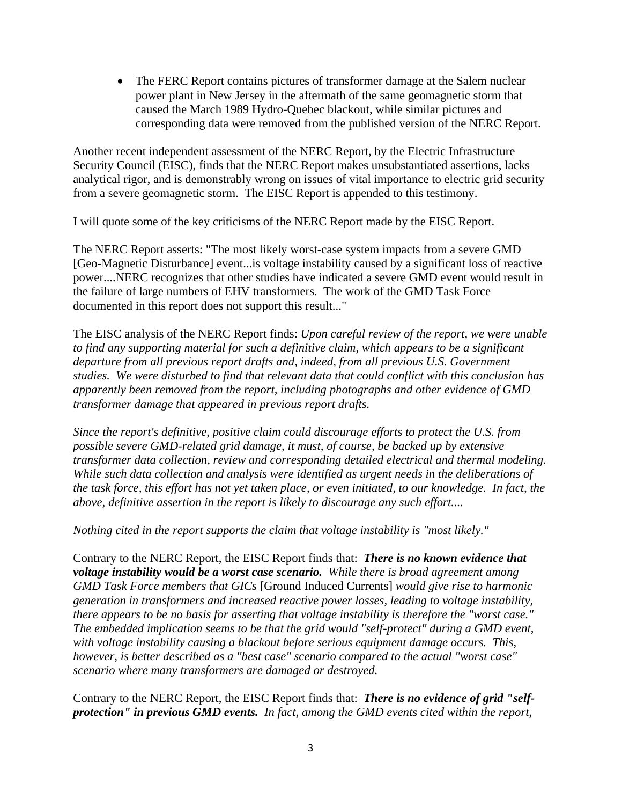• The FERC Report contains pictures of transformer damage at the Salem nuclear power plant in New Jersey in the aftermath of the same geomagnetic storm that caused the March 1989 Hydro-Quebec blackout, while similar pictures and corresponding data were removed from the published version of the NERC Report.

Another recent independent assessment of the NERC Report, by the Electric Infrastructure Security Council (EISC), finds that the NERC Report makes unsubstantiated assertions, lacks analytical rigor, and is demonstrably wrong on issues of vital importance to electric grid security from a severe geomagnetic storm. The EISC Report is appended to this testimony.

I will quote some of the key criticisms of the NERC Report made by the EISC Report.

The NERC Report asserts: "The most likely worst-case system impacts from a severe GMD [Geo-Magnetic Disturbance] event...is voltage instability caused by a significant loss of reactive power....NERC recognizes that other studies have indicated a severe GMD event would result in the failure of large numbers of EHV transformers. The work of the GMD Task Force documented in this report does not support this result..."

The EISC analysis of the NERC Report finds: *Upon careful review of the report, we were unable to find any supporting material for such a definitive claim, which appears to be a significant departure from all previous report drafts and, indeed, from all previous U.S. Government studies. We were disturbed to find that relevant data that could conflict with this conclusion has apparently been removed from the report, including photographs and other evidence of GMD transformer damage that appeared in previous report drafts.* 

*Since the report's definitive, positive claim could discourage efforts to protect the U.S. from possible severe GMD-related grid damage, it must, of course, be backed up by extensive transformer data collection, review and corresponding detailed electrical and thermal modeling. While such data collection and analysis were identified as urgent needs in the deliberations of the task force, this effort has not yet taken place, or even initiated, to our knowledge. In fact, the above, definitive assertion in the report is likely to discourage any such effort....* 

*Nothing cited in the report supports the claim that voltage instability is "most likely."* 

Contrary to the NERC Report, the EISC Report finds that: *There is no known evidence that voltage instability would be a worst case scenario. While there is broad agreement among GMD Task Force members that GICs* [Ground Induced Currents] *would give rise to harmonic generation in transformers and increased reactive power losses, leading to voltage instability, there appears to be no basis for asserting that voltage instability is therefore the "worst case." The embedded implication seems to be that the grid would "self-protect" during a GMD event, with voltage instability causing a blackout before serious equipment damage occurs. This, however, is better described as a "best case" scenario compared to the actual "worst case" scenario where many transformers are damaged or destroyed.* 

Contrary to the NERC Report, the EISC Report finds that: *There is no evidence of grid "selfprotection" in previous GMD events. In fact, among the GMD events cited within the report,*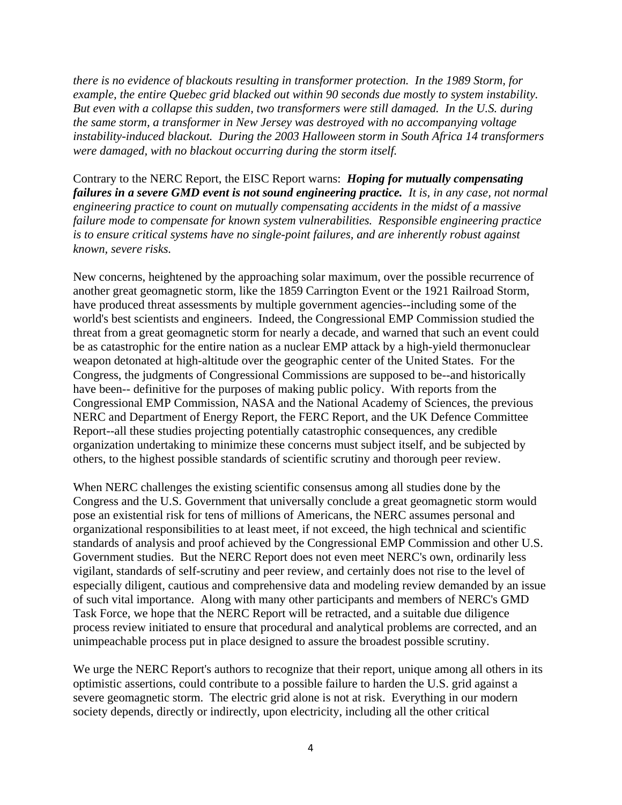*there is no evidence of blackouts resulting in transformer protection. In the 1989 Storm, for example, the entire Quebec grid blacked out within 90 seconds due mostly to system instability. But even with a collapse this sudden, two transformers were still damaged. In the U.S. during the same storm, a transformer in New Jersey was destroyed with no accompanying voltage instability-induced blackout. During the 2003 Halloween storm in South Africa 14 transformers were damaged, with no blackout occurring during the storm itself.* 

Contrary to the NERC Report, the EISC Report warns: *Hoping for mutually compensating failures in a severe GMD event is not sound engineering practice. It is, in any case, not normal engineering practice to count on mutually compensating accidents in the midst of a massive failure mode to compensate for known system vulnerabilities. Responsible engineering practice is to ensure critical systems have no single-point failures, and are inherently robust against known, severe risks.* 

New concerns, heightened by the approaching solar maximum, over the possible recurrence of another great geomagnetic storm, like the 1859 Carrington Event or the 1921 Railroad Storm, have produced threat assessments by multiple government agencies--including some of the world's best scientists and engineers. Indeed, the Congressional EMP Commission studied the threat from a great geomagnetic storm for nearly a decade, and warned that such an event could be as catastrophic for the entire nation as a nuclear EMP attack by a high-yield thermonuclear weapon detonated at high-altitude over the geographic center of the United States. For the Congress, the judgments of Congressional Commissions are supposed to be--and historically have been-- definitive for the purposes of making public policy. With reports from the Congressional EMP Commission, NASA and the National Academy of Sciences, the previous NERC and Department of Energy Report, the FERC Report, and the UK Defence Committee Report--all these studies projecting potentially catastrophic consequences, any credible organization undertaking to minimize these concerns must subject itself, and be subjected by others, to the highest possible standards of scientific scrutiny and thorough peer review.

When NERC challenges the existing scientific consensus among all studies done by the Congress and the U.S. Government that universally conclude a great geomagnetic storm would pose an existential risk for tens of millions of Americans, the NERC assumes personal and organizational responsibilities to at least meet, if not exceed, the high technical and scientific standards of analysis and proof achieved by the Congressional EMP Commission and other U.S. Government studies. But the NERC Report does not even meet NERC's own, ordinarily less vigilant, standards of self-scrutiny and peer review, and certainly does not rise to the level of especially diligent, cautious and comprehensive data and modeling review demanded by an issue of such vital importance. Along with many other participants and members of NERC's GMD Task Force, we hope that the NERC Report will be retracted, and a suitable due diligence process review initiated to ensure that procedural and analytical problems are corrected, and an unimpeachable process put in place designed to assure the broadest possible scrutiny.

We urge the NERC Report's authors to recognize that their report, unique among all others in its optimistic assertions, could contribute to a possible failure to harden the U.S. grid against a severe geomagnetic storm. The electric grid alone is not at risk. Everything in our modern society depends, directly or indirectly, upon electricity, including all the other critical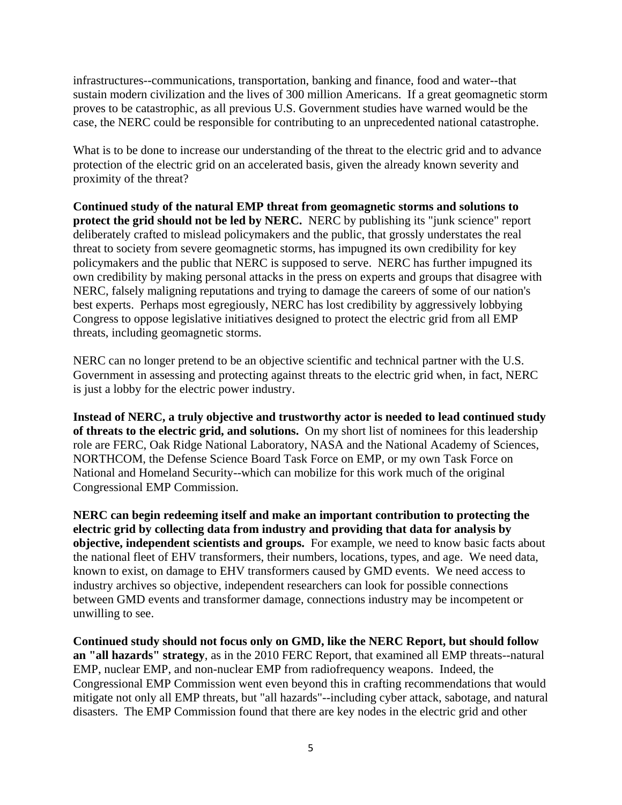infrastructures--communications, transportation, banking and finance, food and water--that sustain modern civilization and the lives of 300 million Americans. If a great geomagnetic storm proves to be catastrophic, as all previous U.S. Government studies have warned would be the case, the NERC could be responsible for contributing to an unprecedented national catastrophe.

What is to be done to increase our understanding of the threat to the electric grid and to advance protection of the electric grid on an accelerated basis, given the already known severity and proximity of the threat?

**Continued study of the natural EMP threat from geomagnetic storms and solutions to protect the grid should not be led by NERC.** NERC by publishing its "junk science" report deliberately crafted to mislead policymakers and the public, that grossly understates the real threat to society from severe geomagnetic storms, has impugned its own credibility for key policymakers and the public that NERC is supposed to serve. NERC has further impugned its own credibility by making personal attacks in the press on experts and groups that disagree with NERC, falsely maligning reputations and trying to damage the careers of some of our nation's best experts. Perhaps most egregiously, NERC has lost credibility by aggressively lobbying Congress to oppose legislative initiatives designed to protect the electric grid from all EMP threats, including geomagnetic storms.

NERC can no longer pretend to be an objective scientific and technical partner with the U.S. Government in assessing and protecting against threats to the electric grid when, in fact, NERC is just a lobby for the electric power industry.

**Instead of NERC, a truly objective and trustworthy actor is needed to lead continued study of threats to the electric grid, and solutions.** On my short list of nominees for this leadership role are FERC, Oak Ridge National Laboratory, NASA and the National Academy of Sciences, NORTHCOM, the Defense Science Board Task Force on EMP, or my own Task Force on National and Homeland Security--which can mobilize for this work much of the original Congressional EMP Commission.

**NERC can begin redeeming itself and make an important contribution to protecting the electric grid by collecting data from industry and providing that data for analysis by objective, independent scientists and groups.** For example, we need to know basic facts about the national fleet of EHV transformers, their numbers, locations, types, and age. We need data, known to exist, on damage to EHV transformers caused by GMD events. We need access to industry archives so objective, independent researchers can look for possible connections between GMD events and transformer damage, connections industry may be incompetent or unwilling to see.

**Continued study should not focus only on GMD, like the NERC Report, but should follow an "all hazards" strategy**, as in the 2010 FERC Report, that examined all EMP threats--natural EMP, nuclear EMP, and non-nuclear EMP from radiofrequency weapons. Indeed, the Congressional EMP Commission went even beyond this in crafting recommendations that would mitigate not only all EMP threats, but "all hazards"--including cyber attack, sabotage, and natural disasters. The EMP Commission found that there are key nodes in the electric grid and other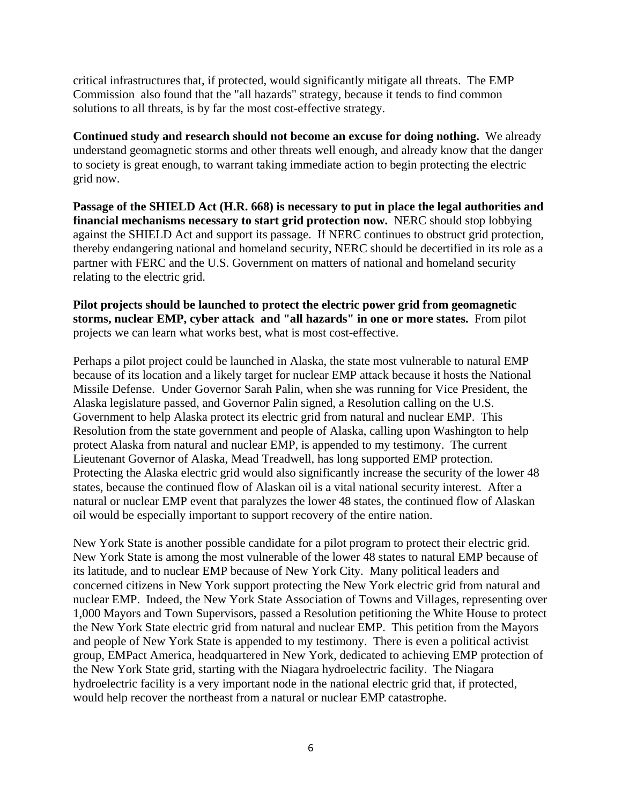critical infrastructures that, if protected, would significantly mitigate all threats. The EMP Commission also found that the "all hazards" strategy, because it tends to find common solutions to all threats, is by far the most cost-effective strategy.

**Continued study and research should not become an excuse for doing nothing.** We already understand geomagnetic storms and other threats well enough, and already know that the danger to society is great enough, to warrant taking immediate action to begin protecting the electric grid now.

**Passage of the SHIELD Act (H.R. 668) is necessary to put in place the legal authorities and financial mechanisms necessary to start grid protection now.** NERC should stop lobbying against the SHIELD Act and support its passage. If NERC continues to obstruct grid protection, thereby endangering national and homeland security, NERC should be decertified in its role as a partner with FERC and the U.S. Government on matters of national and homeland security relating to the electric grid.

**Pilot projects should be launched to protect the electric power grid from geomagnetic storms, nuclear EMP, cyber attack and "all hazards" in one or more states.** From pilot projects we can learn what works best, what is most cost-effective.

Perhaps a pilot project could be launched in Alaska, the state most vulnerable to natural EMP because of its location and a likely target for nuclear EMP attack because it hosts the National Missile Defense. Under Governor Sarah Palin, when she was running for Vice President, the Alaska legislature passed, and Governor Palin signed, a Resolution calling on the U.S. Government to help Alaska protect its electric grid from natural and nuclear EMP. This Resolution from the state government and people of Alaska, calling upon Washington to help protect Alaska from natural and nuclear EMP, is appended to my testimony. The current Lieutenant Governor of Alaska, Mead Treadwell, has long supported EMP protection. Protecting the Alaska electric grid would also significantly increase the security of the lower 48 states, because the continued flow of Alaskan oil is a vital national security interest. After a natural or nuclear EMP event that paralyzes the lower 48 states, the continued flow of Alaskan oil would be especially important to support recovery of the entire nation.

New York State is another possible candidate for a pilot program to protect their electric grid. New York State is among the most vulnerable of the lower 48 states to natural EMP because of its latitude, and to nuclear EMP because of New York City. Many political leaders and concerned citizens in New York support protecting the New York electric grid from natural and nuclear EMP. Indeed, the New York State Association of Towns and Villages, representing over 1,000 Mayors and Town Supervisors, passed a Resolution petitioning the White House to protect the New York State electric grid from natural and nuclear EMP. This petition from the Mayors and people of New York State is appended to my testimony. There is even a political activist group, EMPact America, headquartered in New York, dedicated to achieving EMP protection of the New York State grid, starting with the Niagara hydroelectric facility. The Niagara hydroelectric facility is a very important node in the national electric grid that, if protected, would help recover the northeast from a natural or nuclear EMP catastrophe.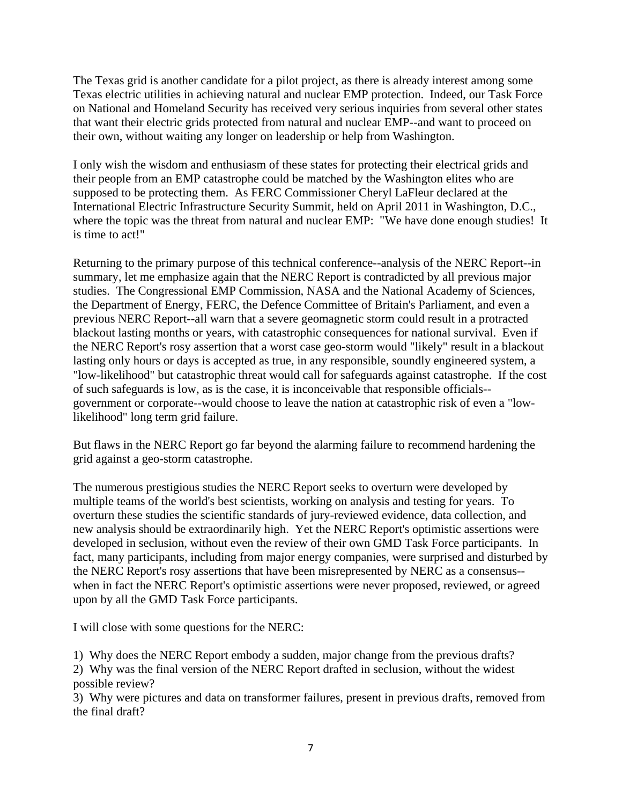The Texas grid is another candidate for a pilot project, as there is already interest among some Texas electric utilities in achieving natural and nuclear EMP protection. Indeed, our Task Force on National and Homeland Security has received very serious inquiries from several other states that want their electric grids protected from natural and nuclear EMP--and want to proceed on their own, without waiting any longer on leadership or help from Washington.

I only wish the wisdom and enthusiasm of these states for protecting their electrical grids and their people from an EMP catastrophe could be matched by the Washington elites who are supposed to be protecting them. As FERC Commissioner Cheryl LaFleur declared at the International Electric Infrastructure Security Summit, held on April 2011 in Washington, D.C., where the topic was the threat from natural and nuclear EMP: "We have done enough studies! It is time to act!"

Returning to the primary purpose of this technical conference--analysis of the NERC Report--in summary, let me emphasize again that the NERC Report is contradicted by all previous major studies. The Congressional EMP Commission, NASA and the National Academy of Sciences, the Department of Energy, FERC, the Defence Committee of Britain's Parliament, and even a previous NERC Report--all warn that a severe geomagnetic storm could result in a protracted blackout lasting months or years, with catastrophic consequences for national survival. Even if the NERC Report's rosy assertion that a worst case geo-storm would "likely" result in a blackout lasting only hours or days is accepted as true, in any responsible, soundly engineered system, a "low-likelihood" but catastrophic threat would call for safeguards against catastrophe. If the cost of such safeguards is low, as is the case, it is inconceivable that responsible officials- government or corporate--would choose to leave the nation at catastrophic risk of even a "lowlikelihood" long term grid failure.

But flaws in the NERC Report go far beyond the alarming failure to recommend hardening the grid against a geo-storm catastrophe.

The numerous prestigious studies the NERC Report seeks to overturn were developed by multiple teams of the world's best scientists, working on analysis and testing for years. To overturn these studies the scientific standards of jury-reviewed evidence, data collection, and new analysis should be extraordinarily high. Yet the NERC Report's optimistic assertions were developed in seclusion, without even the review of their own GMD Task Force participants. In fact, many participants, including from major energy companies, were surprised and disturbed by the NERC Report's rosy assertions that have been misrepresented by NERC as a consensus- when in fact the NERC Report's optimistic assertions were never proposed, reviewed, or agreed upon by all the GMD Task Force participants.

I will close with some questions for the NERC:

1) Why does the NERC Report embody a sudden, major change from the previous drafts? 2) Why was the final version of the NERC Report drafted in seclusion, without the widest possible review?

3) Why were pictures and data on transformer failures, present in previous drafts, removed from the final draft?